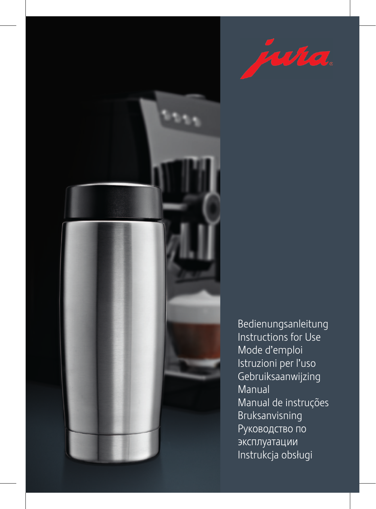



Bedienungsanleitung Instructions for Use Mode d'emploi Istruzioni per l'uso Gebruiksaanwijzing Manual Manual de instruções Bruksanvisning Руководство по эксплуатации Instrukcja obsługi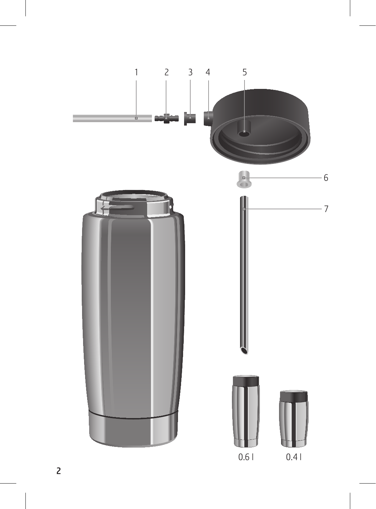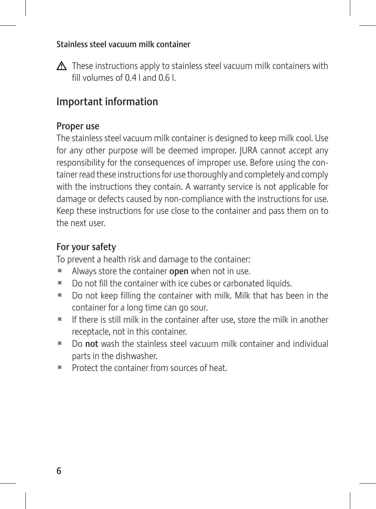#### Stainless steel vacuum milk container

 $\triangle$  These instructions apply to stainless steel vacuum milk containers with fill volumes of 0.4 l and 0.6 l.

# Important information

#### Proper use

The stainless steel vacuum milk container is designed to keep milk cool. Use for any other purpose will be deemed improper. JURA cannot accept any responsibility for the consequences of improper use. Before using the container read these instructions for use thoroughly and completely and comply with the instructions they contain. A warranty service is not applicable for damage or defects caused by non-compliance with the instructions for use. Keep these instructions for use close to the container and pass them on to the next user.

### For your safety

To prevent a health risk and damage to the container:

- $\blacksquare$  Always store the container open when not in use.
- Do not fill the container with ice cubes or carbonated liquids.
- $\blacksquare$  Do not keep filling the container with milk. Milk that has been in the container for a long time can go sour.
- $\blacksquare$  If there is still milk in the container after use, store the milk in another receptacle, not in this container.
- $\blacksquare$  Do not wash the stainless steel vacuum milk container and individual parts in the dishwasher.
- $\blacksquare$  Protect the container from sources of heat.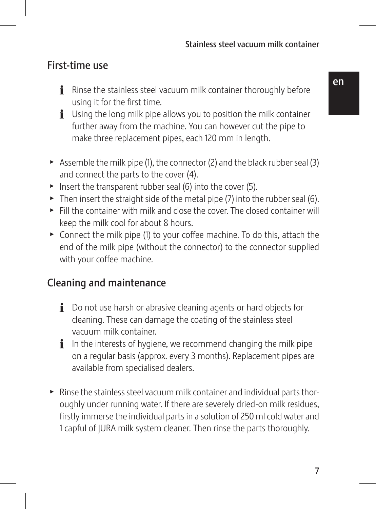## First-time use

- $\mathbf{\hat{i}}$  Rinse the stainless steel vacuum milk container thoroughly before using it for the first time.
- $\mathbf{i}$  Using the long milk pipe allows you to position the milk container further away from the machine. You can however cut the pipe to make three replacement pipes, each 120 mm in length.
- Assemble the milk pipe (1), the connector (2) and the black rubber seal (3) and connect the parts to the cover (4).
- $\triangleright$  Insert the transparent rubber seal (6) into the cover (5).
- $\triangleright$  Then insert the straight side of the metal pipe (7) into the rubber seal (6).
- $\blacktriangleright$  Fill the container with milk and close the cover. The closed container will keep the milk cool for about 8 hours.
- $\triangleright$  Connect the milk pipe (1) to your coffee machine. To do this, attach the end of the milk pipe (without the connector) to the connector supplied with your coffee machine.

# Cleaning and maintenance

- $\mathbf i$  Do not use harsh or abrasive cleaning agents or hard objects for cleaning. These can damage the coating of the stainless steel vacuum milk container.
- $\mathbf{i}$  In the interests of hygiene, we recommend changing the milk pipe on a regular basis (approx. every 3 months). Replacement pipes are available from specialised dealers.
- $\blacktriangleright$  Rinse the stainless steel vacuum milk container and individual parts thoroughly under running water. If there are severely dried-on milk residues, firstly immerse the individual parts in a solution of 250 ml cold water and 1 capful of JURA milk system cleaner. Then rinse the parts thoroughly.